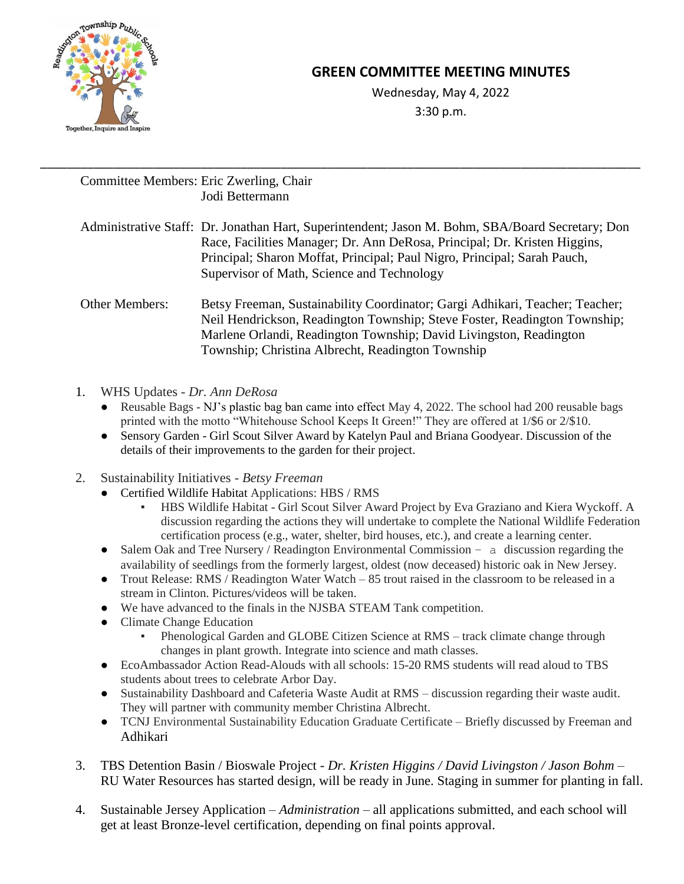

## **GREEN COMMITTEE MEETING MINUTES**

[Wednesday, May 4, 2022](http://meet.google.com/ssa-npvf-kmt) 3:30 p.m.

## Committee Members: Eric Zwerling, Chair Jodi Bettermann

Administrative Staff: Dr. Jonathan Hart, Superintendent; Jason M. Bohm, SBA/Board Secretary; Don Race, Facilities Manager; Dr. Ann DeRosa, Principal; Dr. Kristen Higgins, Principal; Sharon Moffat, Principal; Paul Nigro, Principal; Sarah Pauch, Supervisor of Math, Science and Technology

\_\_\_\_\_\_\_\_\_\_\_\_\_\_\_\_\_\_\_\_\_\_\_\_\_\_\_\_\_\_\_\_\_\_\_\_\_\_\_\_\_\_\_\_\_\_\_\_\_\_\_\_\_\_\_\_\_\_\_\_\_\_\_\_\_\_\_\_\_\_\_\_\_\_\_\_\_\_\_\_\_\_\_\_\_\_\_\_\_\_

Other Members: Betsy Freeman, Sustainability Coordinator; Gargi Adhikari, Teacher; Teacher; Neil Hendrickson, Readington Township; Steve Foster, Readington Township; Marlene Orlandi, Readington Township; David Livingston, Readington Township; Christina Albrecht, Readington Township

- 1. WHS Updates *- Dr. Ann DeRosa*
	- Reusable Bags NJ's plastic bag ban came into effect May 4, 2022. The school had 200 reusable bags printed with the motto "Whitehouse School Keeps It Green!" They are offered at 1/\$6 or 2/\$10.
	- Sensory Garden Girl Scout Silver Award by Katelyn Paul and Briana Goodyear. Discussion of the details of their improvements to the garden for their project.
- 2. Sustainability Initiatives *- Betsy Freeman*
	- [Certified Wildlife Habitat](https://www.nwf.org/certify) Applications: HBS / RMS
		- HBS Wildlife Habitat Girl Scout Silver Award Project by Eva Graziano and Kiera Wyckoff. A discussion regarding the actions they will undertake to complete the National Wildlife Federation certification process (e.g., water, shelter, bird houses, etc.), and create a learning center.
	- Salem Oak and Tree Nursery / Readington Environmental Commission a discussion regarding the availability of seedlings from the formerly largest, oldest (now deceased) historic oak in New Jersey.
	- Trout Release: RMS / Readington Water Watch 85 trout raised in the classroom to be released in a stream in Clinton. Pictures/videos will be taken.
	- We have advanced to the finals in the NJSBA STEAM Tank competition.
	- Climate Change Education
		- Phenological Garden and GLOBE Citizen Science at RMS track climate change through changes in plant growth. Integrate into science and math classes.
	- EcoAmbassador Action Read-Alouds with all schools: 15-20 RMS students will read aloud to TBS students about trees to celebrate Arbor Day.
	- Sustainability Dashboard and Cafeteria Waste Audit at RMS discussion regarding their waste audit. They will partner with community member Christina Albrecht.
	- TCNJ Environmental Sustainability Education Graduate Certificate Briefly discussed by Freeman and Adhikari
- 3. TBS Detention Basin / Bioswale Project *Dr. Kristen Higgins / David Livingston / Jason Bohm* RU Water Resources has started design, will be ready in June. Staging in summer for planting in fall.
- 4. [Sustainable Jersey A](https://www.sustainablejersey.com/)pplication *Administration* all applications submitted, and each school will get at least Bronze-level certification, depending on final points approval.